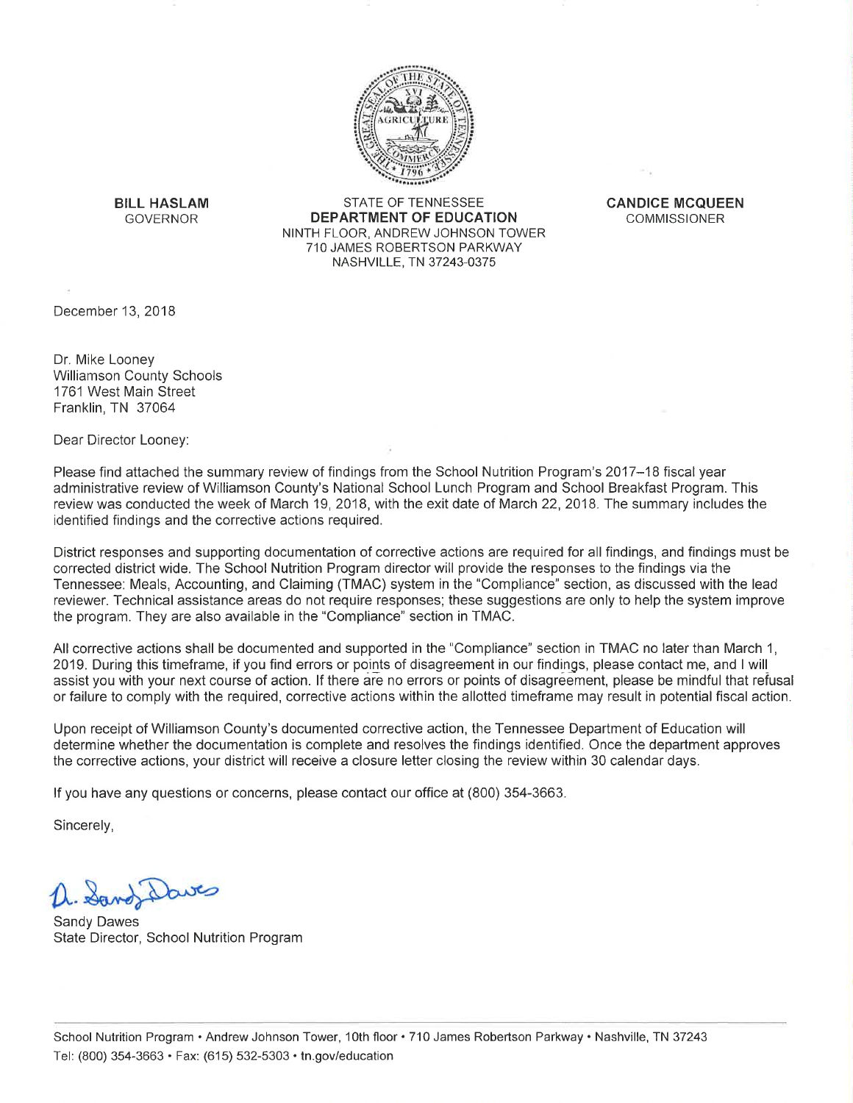

**BILL HASLAM GOVERNOR** 

STATE OF TENNESSEE **DEPARTMENT OF EDUCATION** NINTH FLOOR, ANDREW JOHNSON TOWER 710 JAMES ROBERTSON PARKWAY NASHVILLE, TN 37243-0375

**CANDICE MCQUEEN COMMISSIONER** 

December 13, 2018

Dr. Mike Looney **Williamson County Schools** 1761 West Main Street Franklin, TN 37064

Dear Director Looney:

Please find attached the summary review of findings from the School Nutrition Program's 2017–18 fiscal year administrative review of Williamson County's National School Lunch Program and School Breakfast Program. This review was conducted the week of March 19, 2018, with the exit date of March 22, 2018. The summary includes the identified findings and the corrective actions required.

District responses and supporting documentation of corrective actions are required for all findings, and findings must be corrected district wide. The School Nutrition Program director will provide the responses to the findings via the Tennessee: Meals, Accounting, and Claiming (TMAC) system in the "Compliance" section, as discussed with the lead reviewer. Technical assistance areas do not require responses; these suggestions are only to help the system improve the program. They are also available in the "Compliance" section in TMAC.

All corrective actions shall be documented and supported in the "Compliance" section in TMAC no later than March 1, 2019. During this timeframe, if you find errors or points of disagreement in our findings, please contact me, and I will assist you with your next course of action. If there are no errors or points of disagreement, please be mindful that refusal or failure to comply with the required, corrective actions within the allotted timeframe may result in potential fiscal action.

Upon receipt of Williamson County's documented corrective action, the Tennessee Department of Education will determine whether the documentation is complete and resolves the findings identified. Once the department approves the corrective actions, your district will receive a closure letter closing the review within 30 calendar days.

If you have any questions or concerns, please contact our office at (800) 354-3663.

Sincerely,

Sand Daves

**Sandy Dawes** State Director, School Nutrition Program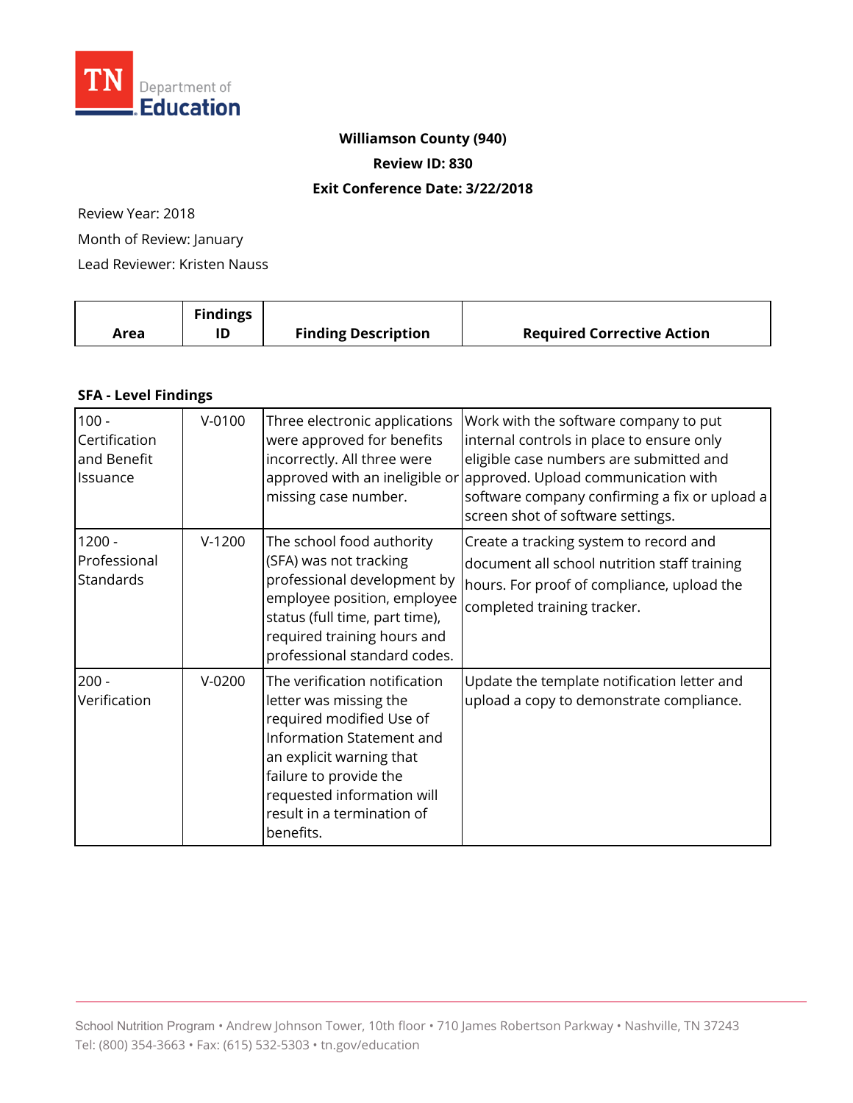

# **Williamson County (940)**

**Review ID: 830** 

#### **Exit Conference Date: 3/22/2018**

Review Year: 2018

Month of Review: January

Lead Reviewer: Kristen Nauss

|      | <b>Findings</b> |                            |                                   |
|------|-----------------|----------------------------|-----------------------------------|
| Area | ID              | <b>Finding Description</b> | <b>Required Corrective Action</b> |

### **SFA - Level Findings**

| $100 -$<br>Certification<br>and Benefit<br>Issuance | $V - 0100$ | Three electronic applications<br>were approved for benefits<br>incorrectly. All three were<br>missing case number.                                                                                                                              | Work with the software company to put<br>internal controls in place to ensure only<br>eligible case numbers are submitted and<br>approved with an ineligible or approved. Upload communication with<br>software company confirming a fix or upload a<br>screen shot of software settings. |
|-----------------------------------------------------|------------|-------------------------------------------------------------------------------------------------------------------------------------------------------------------------------------------------------------------------------------------------|-------------------------------------------------------------------------------------------------------------------------------------------------------------------------------------------------------------------------------------------------------------------------------------------|
| $1200 -$<br>Professional<br><b>Standards</b>        | $V-1200$   | The school food authority<br>(SFA) was not tracking<br>professional development by<br>employee position, employee<br>status (full time, part time),<br>required training hours and<br>professional standard codes.                              | Create a tracking system to record and<br>document all school nutrition staff training<br>hours. For proof of compliance, upload the<br>completed training tracker.                                                                                                                       |
| $200 -$<br>Verification                             | $V-0200$   | The verification notification<br>letter was missing the<br>required modified Use of<br>Information Statement and<br>an explicit warning that<br>failure to provide the<br>requested information will<br>result in a termination of<br>benefits. | Update the template notification letter and<br>upload a copy to demonstrate compliance.                                                                                                                                                                                                   |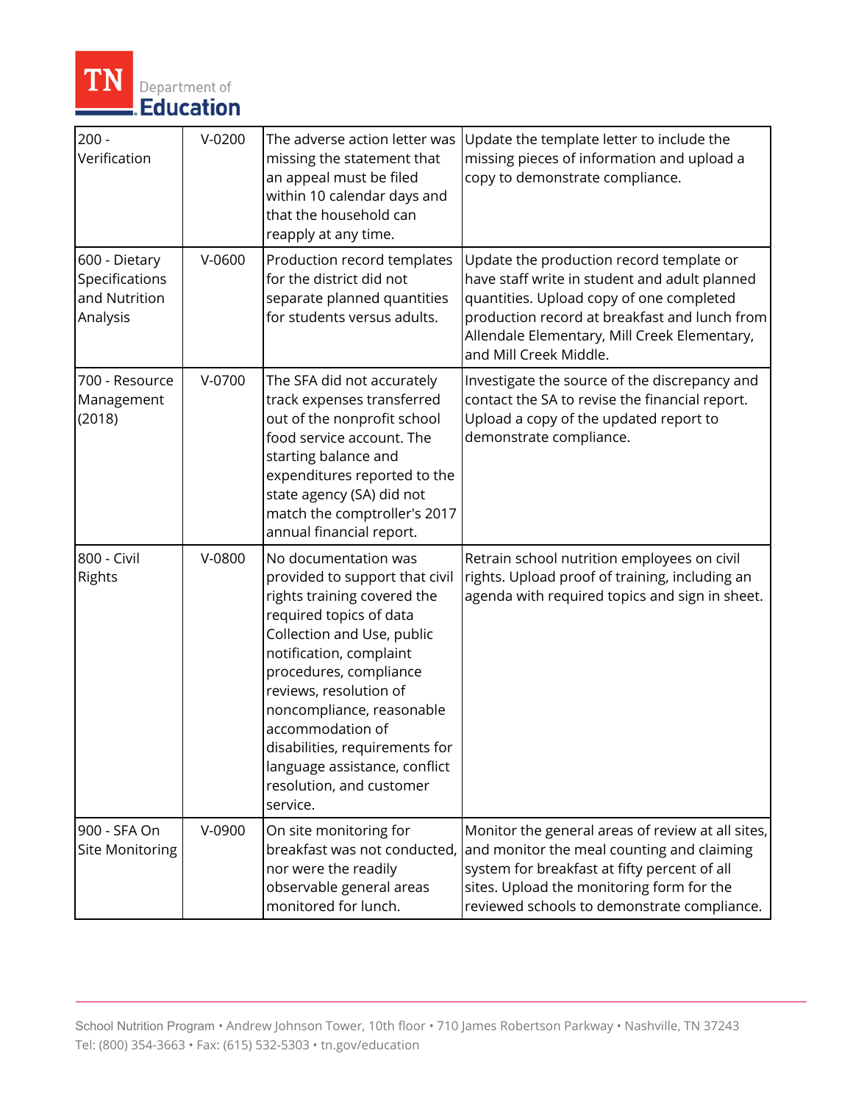

| $200 -$<br>Verification                                      | $V-0200$ | The adverse action letter was<br>missing the statement that<br>an appeal must be filed<br>within 10 calendar days and<br>that the household can<br>reapply at any time.                                                                                                                                                                                                                   | Update the template letter to include the<br>missing pieces of information and upload a<br>copy to demonstrate compliance.                                                                                                                                       |
|--------------------------------------------------------------|----------|-------------------------------------------------------------------------------------------------------------------------------------------------------------------------------------------------------------------------------------------------------------------------------------------------------------------------------------------------------------------------------------------|------------------------------------------------------------------------------------------------------------------------------------------------------------------------------------------------------------------------------------------------------------------|
| 600 - Dietary<br>Specifications<br>and Nutrition<br>Analysis | $V-0600$ | Production record templates<br>for the district did not<br>separate planned quantities<br>for students versus adults.                                                                                                                                                                                                                                                                     | Update the production record template or<br>have staff write in student and adult planned<br>quantities. Upload copy of one completed<br>production record at breakfast and lunch from<br>Allendale Elementary, Mill Creek Elementary,<br>and Mill Creek Middle. |
| 700 - Resource<br>Management<br>(2018)                       | V-0700   | The SFA did not accurately<br>track expenses transferred<br>out of the nonprofit school<br>food service account. The<br>starting balance and<br>expenditures reported to the<br>state agency (SA) did not<br>match the comptroller's 2017<br>annual financial report.                                                                                                                     | Investigate the source of the discrepancy and<br>contact the SA to revise the financial report.<br>Upload a copy of the updated report to<br>demonstrate compliance.                                                                                             |
| 800 - Civil<br>Rights                                        | V-0800   | No documentation was<br>provided to support that civil<br>rights training covered the<br>required topics of data<br>Collection and Use, public<br>notification, complaint<br>procedures, compliance<br>reviews, resolution of<br>noncompliance, reasonable<br>accommodation of<br>disabilities, requirements for<br>language assistance, conflict<br>resolution, and customer<br>service. | Retrain school nutrition employees on civil<br>rights. Upload proof of training, including an<br>agenda with required topics and sign in sheet.                                                                                                                  |
| 900 - SFA On<br><b>Site Monitoring</b>                       | V-0900   | On site monitoring for<br>breakfast was not conducted,<br>nor were the readily<br>observable general areas<br>monitored for lunch.                                                                                                                                                                                                                                                        | Monitor the general areas of review at all sites,<br>and monitor the meal counting and claiming<br>system for breakfast at fifty percent of all<br>sites. Upload the monitoring form for the<br>reviewed schools to demonstrate compliance.                      |